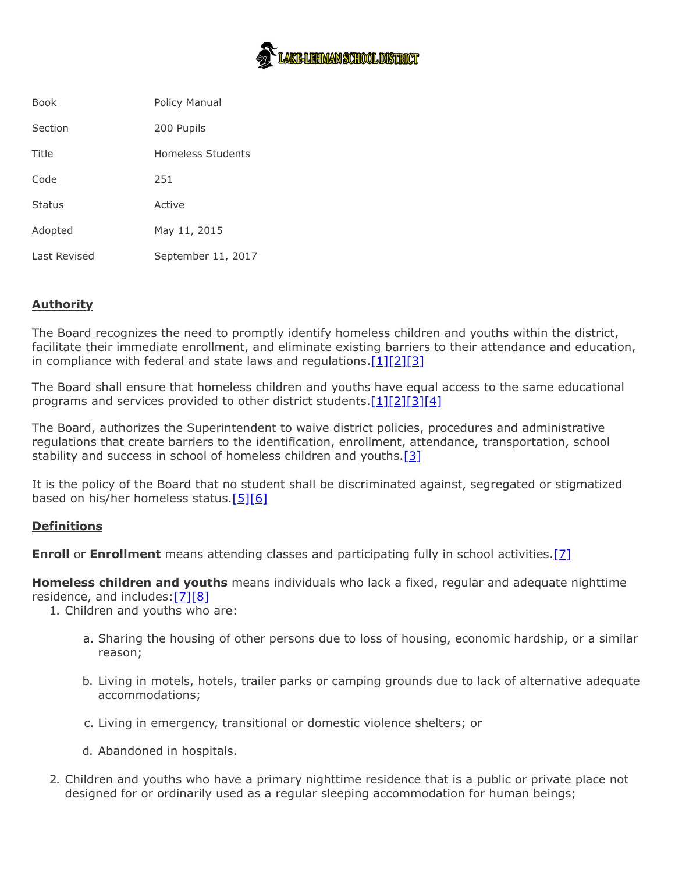

| <b>Book</b>   | Policy Manual      |
|---------------|--------------------|
| Section       | 200 Pupils         |
| Title         | Homeless Students  |
| Code          | 251                |
| <b>Status</b> | Active             |
| Adopted       | May 11, 2015       |
| Last Revised  | September 11, 2017 |

# **Authority**

The Board recognizes the need to promptly identify homeless children and youths within the district, facilitate their immediate enrollment, and eliminate existing barriers to their attendance and education, in compliance with federal and state laws and regulations. $[1][2][3]$  $[1][2][3]$  $[1][2][3]$ 

The Board shall ensure that homeless children and youths have equal access to the same educational programs and services provided to other district students. $[1][2][3][4]$  $[1][2][3][4]$  $[1][2][3][4]$  $[1][2][3][4]$ 

The Board, authorizes the Superintendent to waive district policies, procedures and administrative regulations that create barriers to the identification, enrollment, attendance, transportation, school stability and success in school of homeless children and youths.<sup>[\[3\]](http://www.law.cornell.edu/uscode/text/42/chapter-119/subchapter-VI/part-B)</sup>

It is the policy of the Board that no student shall be discriminated against, segregated or stigmatized based on his/her homeless status[.\[5\]](http://www.law.cornell.edu/uscode/text/42/11431)[\[6\]](http://www.law.cornell.edu/uscode/text/42/11432)

#### **Definitions**

**Enroll** or **Enrollment** means attending classes and participating fully in school activities. [\[7\]](http://www.law.cornell.edu/uscode/text/42/11434a)

**Homeless children and youths** means individuals who lack a fixed, regular and adequate nighttime residence, and includes[:\[7\]](http://www.law.cornell.edu/uscode/text/42/11434a)[\[8\]](https://www.ecfr.gov/cgi-bin/text-idx?SID=8ef4fad98d70505b74b5d82956c196b9&mc=true&node=se34.1.200_130&rgn=div8)

1. Children and youths who are:

- a. Sharing the housing of other persons due to loss of housing, economic hardship, or a similar reason;
- b. Living in motels, hotels, trailer parks or camping grounds due to lack of alternative adequate accommodations;
- c. Living in emergency, transitional or domestic violence shelters; or
- d. Abandoned in hospitals.
- 2. Children and youths who have a primary nighttime residence that is a public or private place not designed for or ordinarily used as a regular sleeping accommodation for human beings;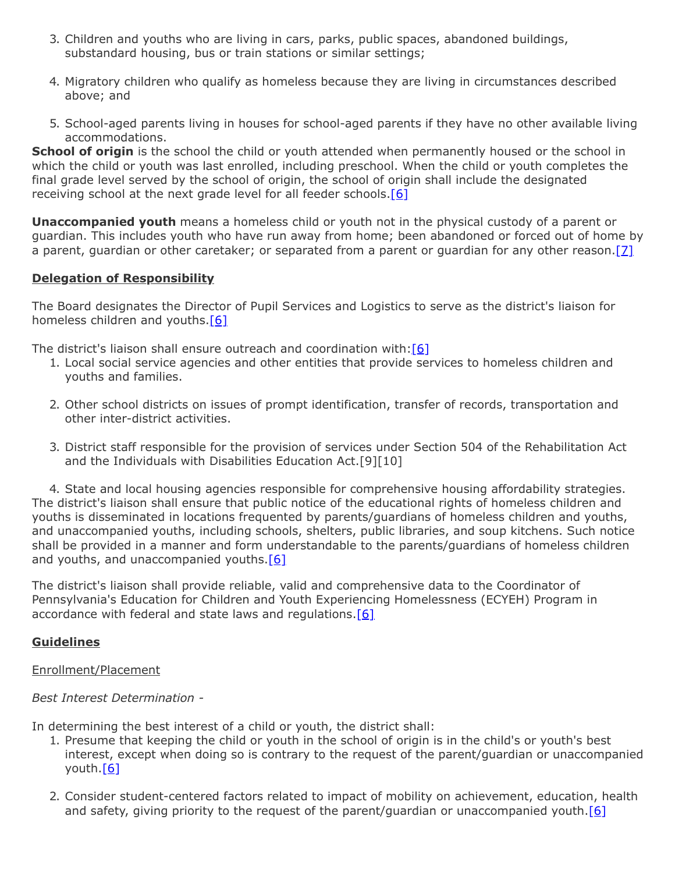- 3. Children and youths who are living in cars, parks, public spaces, abandoned buildings, substandard housing, bus or train stations or similar settings;
- 4. Migratory children who qualify as homeless because they are living in circumstances described above; and
- 5. School-aged parents living in houses for school-aged parents if they have no other available living accommodations.

**School of origin** is the school the child or youth attended when permanently housed or the school in which the child or youth was last enrolled, including preschool. When the child or youth completes the final grade level served by the school of origin, the school of origin shall include the designated receiving school at the next grade level for all feeder schools.<sup>[\[6\]](http://www.law.cornell.edu/uscode/text/42/11432)</sup>

**Unaccompanied youth** means a homeless child or youth not in the physical custody of a parent or guardian. This includes youth who have run away from home; been abandoned or forced out of home by a parent, guardian or other caretaker; or separated from a parent or guardian for any other reason. [7]

## **Delegation of Responsibility**

The Board designates the Director of Pupil Services and Logistics to serve as the district's liaison for homeless children and youths.<sup>[6]</sup>

The district's liaison shall ensure outreach and coordination with: $[6]$ 

- 1. Local social service agencies and other entities that provide services to homeless children and youths and families.
- 2. Other school districts on issues of prompt identification, transfer of records, transportation and other inter-district activities.
- 3. District staff responsible for the provision of services under Section 504 of the Rehabilitation Act and the Individuals with Disabilities Education Act.[9][10]

4. State and local housing agencies responsible for comprehensive housing affordability strategies. The district's liaison shall ensure that public notice of the educational rights of homeless children and youths is disseminated in locations frequented by parents/guardians of homeless children and youths, and unaccompanied youths, including schools, shelters, public libraries, and soup kitchens. Such notice shall be provided in a manner and form understandable to the parents/guardians of homeless children and youths, and unaccompanied youths. $[6]$ 

The district's liaison shall provide reliable, valid and comprehensive data to the Coordinator of Pennsylvania's Education for Children and Youth Experiencing Homelessness (ECYEH) Program in accordance with federal and state laws and regulations. $[6]$ 

# **Guidelines**

## Enrollment/Placement

*Best Interest Determination -*

In determining the best interest of a child or youth, the district shall:

- 1. Presume that keeping the child or youth in the school of origin is in the child's or youth's best interest, except when doing so is contrary to the request of the parent/guardian or unaccompanied youth.[\[6\]](http://www.law.cornell.edu/uscode/text/42/11432)
- 2. Consider student-centered factors related to impact of mobility on achievement, education, health and safety, giving priority to the request of the parent/guardian or unaccompanied youth.<sup>[6]</sup>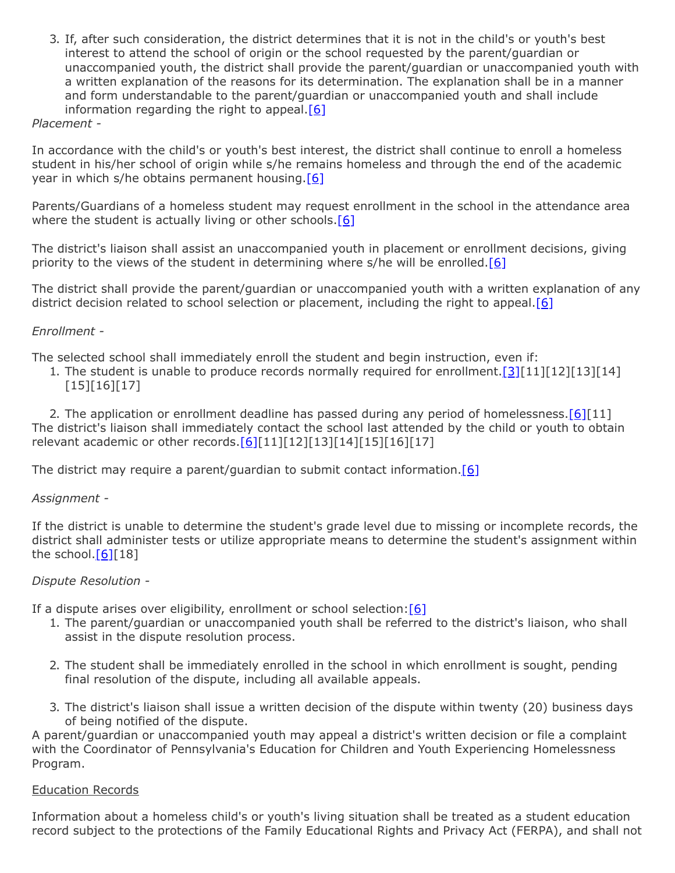3. If, after such consideration, the district determines that it is not in the child's or youth's best interest to attend the school of origin or the school requested by the parent/guardian or unaccompanied youth, the district shall provide the parent/guardian or unaccompanied youth with a written explanation of the reasons for its determination. The explanation shall be in a manner and form understandable to the parent/guardian or unaccompanied youth and shall include information regarding the right to appeal. $[6]$ 

## *Placement -*

In accordance with the child's or youth's best interest, the district shall continue to enroll a homeless student in his/her school of origin while s/he remains homeless and through the end of the academic year in which s/he obtains permanent housing  $[6]$ 

Parents/Guardians of a homeless student may request enrollment in the school in the attendance area where the student is actually living or other schools. $[6]$ 

The district's liaison shall assist an unaccompanied youth in placement or enrollment decisions, giving priority to the views of the student in determining where s/he will be enrolled.[\[6\]](http://www.law.cornell.edu/uscode/text/42/11432)

The district shall provide the parent/guardian or unaccompanied youth with a written explanation of any district decision related to school selection or placement, including the right to appeal. $[6]$ 

### *Enrollment -*

The selected school shall immediately enroll the student and begin instruction, even if:

1. The student is unable to produce records normally required for enrollment.  $[3][11][12][13][14]$  $[3][11][12][13][14]$ [15][16][17]

2. The application or enrollment deadline has passed during any period of homelessness.  $[6][11]$  $[6][11]$ The district's liaison shall immediately contact the school last attended by the child or youth to obtain relevant academic or other records. $[6][11][12][13][14][15][16][17]$  $[6][11][12][13][14][15][16][17]$ 

The district may require a parent/guardian to submit contact information.  $[6]$ 

#### *Assignment -*

If the district is unable to determine the student's grade level due to missing or incomplete records, the district shall administer tests or utilize appropriate means to determine the student's assignment within the school. $[6][18]$  $[6][18]$ 

#### *Dispute Resolution -*

If a dispute arises over eligibility, enrollment or school selection:  $[6]$ 

- 1. The parent/guardian or unaccompanied youth shall be referred to the district's liaison, who shall assist in the dispute resolution process.
- 2. The student shall be immediately enrolled in the school in which enrollment is sought, pending final resolution of the dispute, including all available appeals.
- 3. The district's liaison shall issue a written decision of the dispute within twenty (20) business days of being notified of the dispute.

A parent/guardian or unaccompanied youth may appeal a district's written decision or file a complaint with the Coordinator of Pennsylvania's Education for Children and Youth Experiencing Homelessness Program.

#### Education Records

Information about a homeless child's or youth's living situation shall be treated as a student education record subject to the protections of the Family Educational Rights and Privacy Act (FERPA), and shall not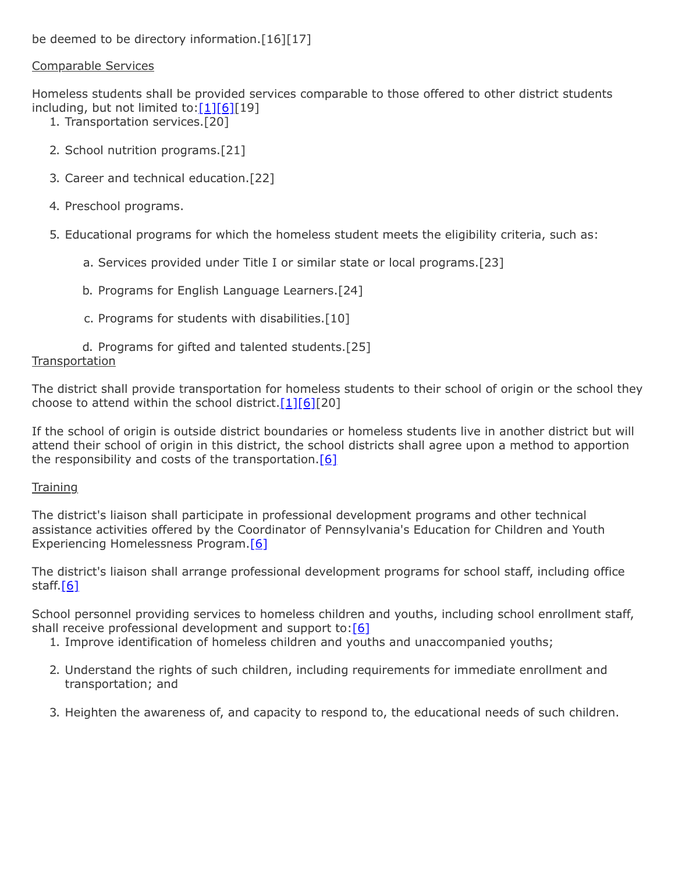# Comparable Services

Homeless students shall be provided services comparable to those offered to other district students including, but not limited to: $[1][6][19]$  $[1][6][19]$  $[1][6][19]$ 

- 1. Transportation services.[20]
- 2. School nutrition programs.[21]
- 3. Career and technical education.[22]
- 4. Preschool programs.
- 5. Educational programs for which the homeless student meets the eligibility criteria, such as:
	- a. Services provided under Title I or similar state or local programs.[23]
	- b. Programs for English Language Learners.[24]
	- c. Programs for students with disabilities.[10]

## d. Programs for gifted and talented students.[25] **Transportation**

The district shall provide transportation for homeless students to their school of origin or the school they choose to attend within the school district. $[1][6][20]$  $[1][6][20]$  $[1][6][20]$ 

If the school of origin is outside district boundaries or homeless students live in another district but will attend their school of origin in this district, the school districts shall agree upon a method to apportion the responsibility and costs of the transportation.  $[6]$ 

# **Training**

The district's liaison shall participate in professional development programs and other technical assistance activities offered by the Coordinator of Pennsylvania's Education for Children and Youth Experiencing Homelessness Program.[\[6\]](http://www.law.cornell.edu/uscode/text/42/11432)

The district's liaison shall arrange professional development programs for school staff, including office staff. $[6]$ 

School personnel providing services to homeless children and youths, including school enrollment staff, shall receive professional development and support to:  $[6]$ 

- 1. Improve identification of homeless children and youths and unaccompanied youths;
- 2. Understand the rights of such children, including requirements for immediate enrollment and transportation; and
- 3. Heighten the awareness of, and capacity to respond to, the educational needs of such children.